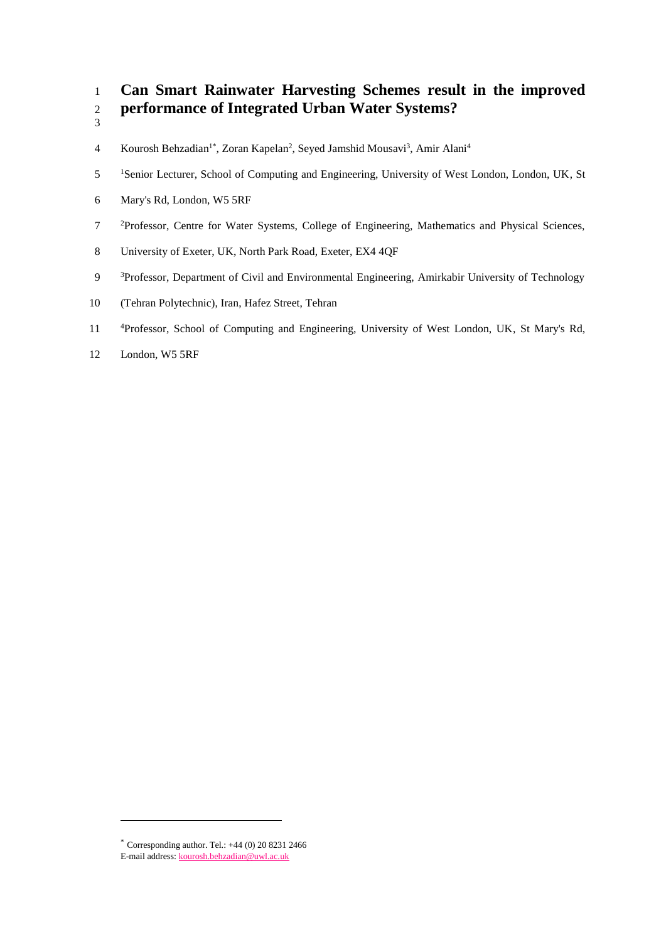# 1 **Can Smart Rainwater Harvesting Schemes result in the improved**  2 **performance of Integrated Urban Water Systems?**

- 3
- 4 Kourosh Behzadian<sup>1\*</sup>, Zoran Kapelan<sup>2</sup>, Seyed Jamshid Mousavi<sup>3</sup>, Amir Alani<sup>4</sup>
- 5 <sup>1</sup>Senior Lecturer, School of Computing and Engineering, University of West London, London, UK, St
- 6 Mary's Rd, London, W5 5RF
- <sup>2</sup> Professor, Centre for Water Systems, College of Engineering, Mathematics and Physical Sciences,
- 8 University of Exeter, UK, North Park Road, Exeter, EX4 4QF
- <sup>3</sup> Professor, Department of Civil and Environmental Engineering, Amirkabir University of Technology
- 10 (Tehran Polytechnic), Iran, Hafez Street, Tehran
- <sup>4</sup> 11 Professor, School of Computing and Engineering, University of West London, UK, St Mary's Rd,
- 12 London, W5 5RF

l

 $*$  Corresponding author. Tel.:  $+44$  (0) 20 8231 2466 E-mail address[: kourosh.behzadian@uwl.ac.uk](mailto:kourosh.behzadian@uwl.ac.uk)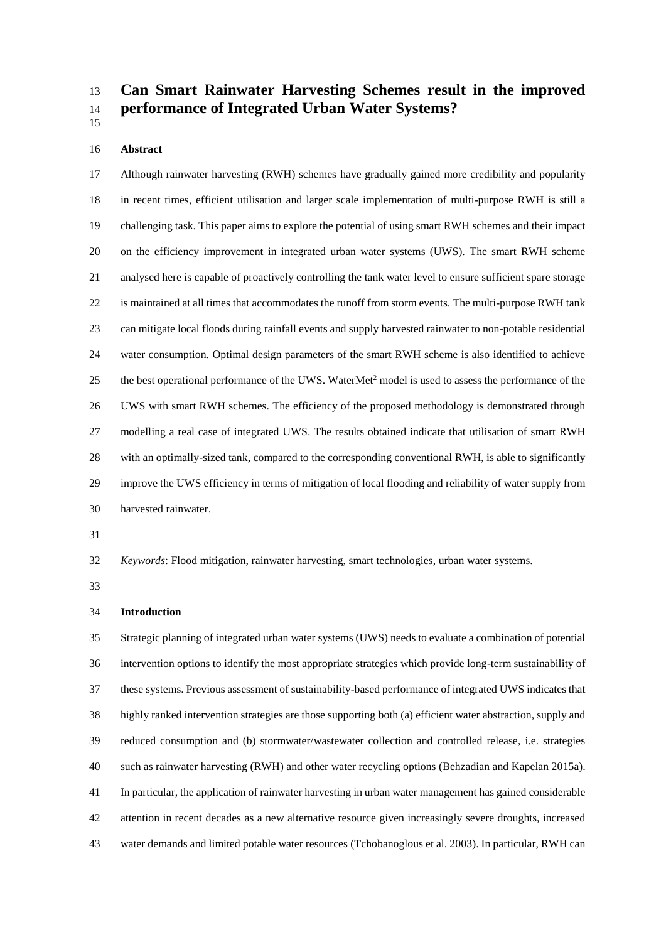# **Can Smart Rainwater Harvesting Schemes result in the improved performance of Integrated Urban Water Systems?**

#### **Abstract**

 Although rainwater harvesting (RWH) schemes have gradually gained more credibility and popularity in recent times, efficient utilisation and larger scale implementation of multi-purpose RWH is still a challenging task. This paper aims to explore the potential of using smart RWH schemes and their impact on the efficiency improvement in integrated urban water systems (UWS). The smart RWH scheme analysed here is capable of proactively controlling the tank water level to ensure sufficient spare storage is maintained at all times that accommodates the runoff from storm events. The multi-purpose RWH tank can mitigate local floods during rainfall events and supply harvested rainwater to non-potable residential water consumption. Optimal design parameters of the smart RWH scheme is also identified to achieve 25 the best operational performance of the UWS. WaterMet<sup>2</sup> model is used to assess the performance of the UWS with smart RWH schemes. The efficiency of the proposed methodology is demonstrated through modelling a real case of integrated UWS. The results obtained indicate that utilisation of smart RWH with an optimally-sized tank, compared to the corresponding conventional RWH, is able to significantly improve the UWS efficiency in terms of mitigation of local flooding and reliability of water supply from harvested rainwater.

*Keywords*: Flood mitigation, rainwater harvesting, smart technologies, urban water systems.

# **Introduction**

 Strategic planning of integrated urban water systems (UWS) needs to evaluate a combination of potential intervention options to identify the most appropriate strategies which provide long-term sustainability of these systems. Previous assessment of sustainability-based performance of integrated UWS indicates that highly ranked intervention strategies are those supporting both (a) efficient water abstraction, supply and reduced consumption and (b) stormwater/wastewater collection and controlled release, i.e. strategies such as rainwater harvesting (RWH) and other water recycling options (Behzadian and Kapelan 2015a). In particular, the application of rainwater harvesting in urban water management has gained considerable attention in recent decades as a new alternative resource given increasingly severe droughts, increased water demands and limited potable water resources (Tchobanoglous et al. 2003). In particular, RWH can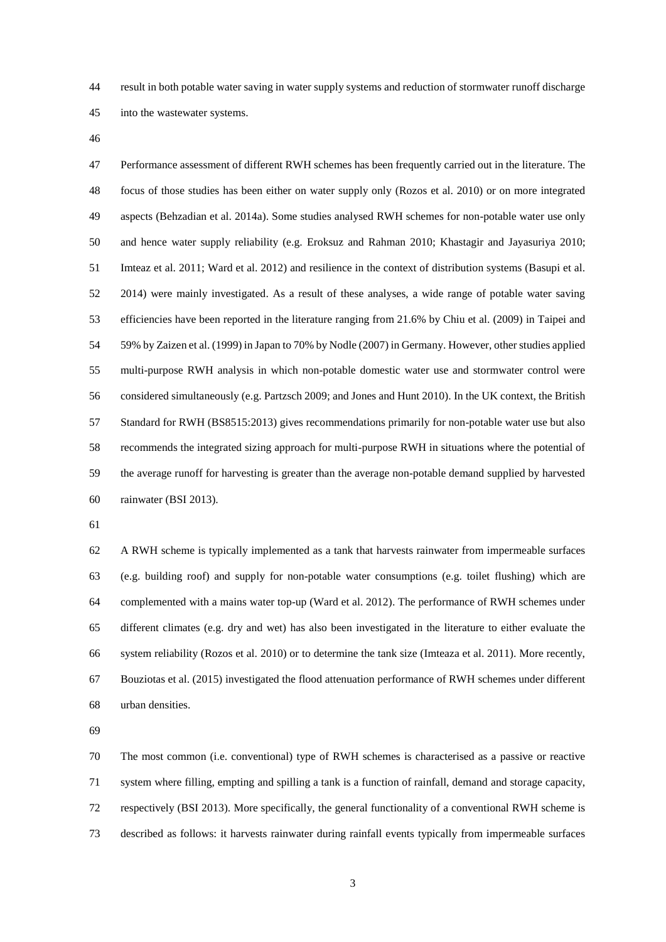result in both potable water saving in water supply systems and reduction of stormwater runoff discharge into the wastewater systems.

 Performance assessment of different RWH schemes has been frequently carried out in the literature. The focus of those studies has been either on water supply only (Rozos et al. 2010) or on more integrated aspects (Behzadian et al. 2014a). Some studies analysed RWH schemes for non-potable water use only and hence water supply reliability (e.g. Eroksuz and Rahman 2010; Khastagir and Jayasuriya 2010; Imteaz et al. 2011; Ward et al. 2012) and resilience in the context of distribution systems (Basupi et al. 2014) were mainly investigated. As a result of these analyses, a wide range of potable water saving efficiencies have been reported in the literature ranging from 21.6% by Chiu et al. (2009) in Taipei and 59% by Zaizen et al. (1999) in Japan to 70% by Nodle (2007) in Germany. However, other studies applied multi-purpose RWH analysis in which non-potable domestic water use and stormwater control were considered simultaneously (e.g. Partzsch 2009; and Jones and Hunt 2010). In the UK context, the British Standard for RWH (BS8515:2013) gives recommendations primarily for non-potable water use but also recommends the integrated sizing approach for multi-purpose RWH in situations where the potential of the average runoff for harvesting is greater than the average non-potable demand supplied by harvested rainwater (BSI 2013).

 A RWH scheme is typically implemented as a tank that harvests rainwater from impermeable surfaces (e.g. building roof) and supply for non-potable water consumptions (e.g. toilet flushing) which are complemented with a mains water top-up (Ward et al. 2012). The performance of RWH schemes under different climates (e.g. dry and wet) has also been investigated in the literature to either evaluate the system reliability (Rozos et al. 2010) or to determine the tank size (Imteaza et al. 2011). More recently, Bouziotas et al. (2015) investigated the flood attenuation performance of RWH schemes under different urban densities.

 The most common (i.e. conventional) type of RWH schemes is characterised as a passive or reactive system where filling, empting and spilling a tank is a function of rainfall, demand and storage capacity, respectively (BSI 2013). More specifically, the general functionality of a conventional RWH scheme is described as follows: it harvests rainwater during rainfall events typically from impermeable surfaces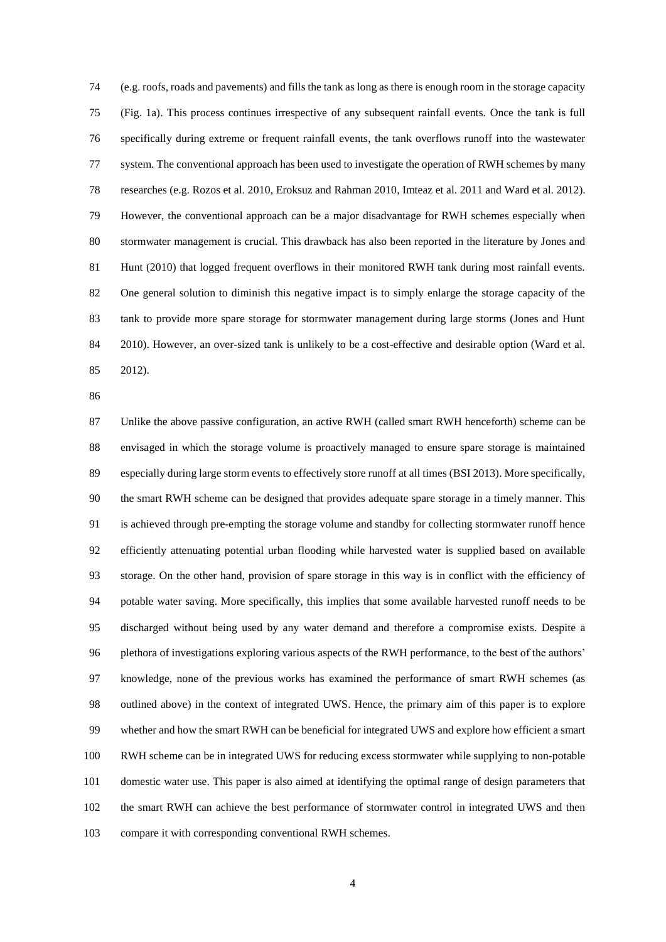(e.g. roofs, roads and pavements) and fills the tank as long as there is enough room in the storage capacity (Fig. 1a). This process continues irrespective of any subsequent rainfall events. Once the tank is full specifically during extreme or frequent rainfall events, the tank overflows runoff into the wastewater system. The conventional approach has been used to investigate the operation of RWH schemes by many researches (e.g. Rozos et al. 2010, Eroksuz and Rahman 2010, Imteaz et al. 2011 and Ward et al. 2012). However, the conventional approach can be a major disadvantage for RWH schemes especially when stormwater management is crucial. This drawback has also been reported in the literature by Jones and Hunt (2010) that logged frequent overflows in their monitored RWH tank during most rainfall events. One general solution to diminish this negative impact is to simply enlarge the storage capacity of the tank to provide more spare storage for stormwater management during large storms (Jones and Hunt 2010). However, an over-sized tank is unlikely to be a cost-effective and desirable option (Ward et al. 2012).

 Unlike the above passive configuration, an active RWH (called smart RWH henceforth) scheme can be envisaged in which the storage volume is proactively managed to ensure spare storage is maintained especially during large storm events to effectively store runoff at all times (BSI 2013). More specifically, the smart RWH scheme can be designed that provides adequate spare storage in a timely manner. This is achieved through pre-empting the storage volume and standby for collecting stormwater runoff hence efficiently attenuating potential urban flooding while harvested water is supplied based on available storage. On the other hand, provision of spare storage in this way is in conflict with the efficiency of potable water saving. More specifically, this implies that some available harvested runoff needs to be discharged without being used by any water demand and therefore a compromise exists. Despite a plethora of investigations exploring various aspects of the RWH performance, to the best of the authors' knowledge, none of the previous works has examined the performance of smart RWH schemes (as outlined above) in the context of integrated UWS. Hence, the primary aim of this paper is to explore whether and how the smart RWH can be beneficial for integrated UWS and explore how efficient a smart RWH scheme can be in integrated UWS for reducing excess stormwater while supplying to non-potable domestic water use. This paper is also aimed at identifying the optimal range of design parameters that the smart RWH can achieve the best performance of stormwater control in integrated UWS and then compare it with corresponding conventional RWH schemes.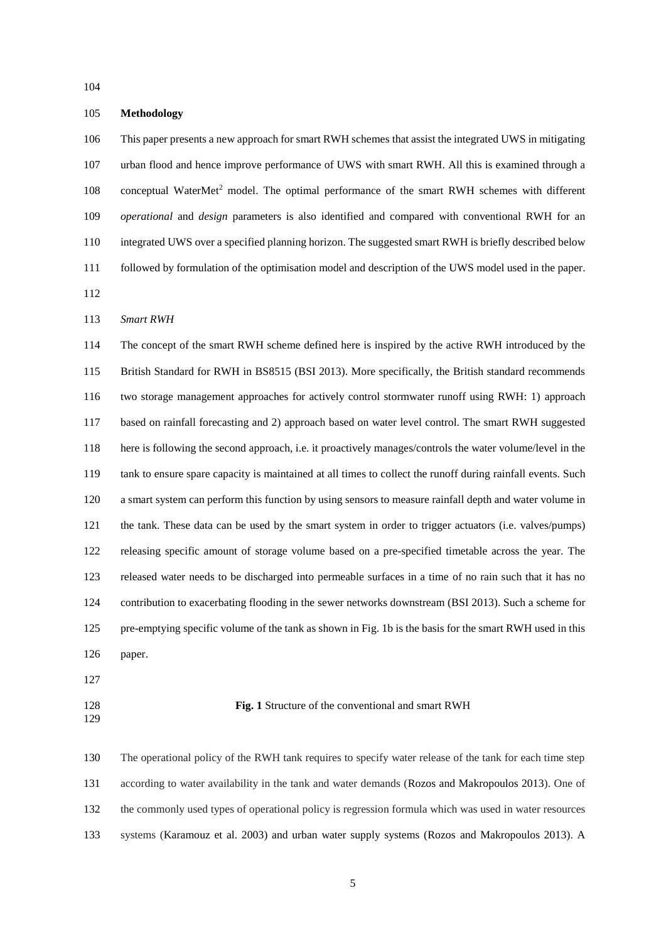# **Methodology**

 This paper presents a new approach for smart RWH schemes that assist the integrated UWS in mitigating urban flood and hence improve performance of UWS with smart RWH. All this is examined through a 108 conceptual WaterMet<sup>2</sup> model. The optimal performance of the smart RWH schemes with different *operational* and *design* parameters is also identified and compared with conventional RWH for an integrated UWS over a specified planning horizon. The suggested smart RWH is briefly described below followed by formulation of the optimisation model and description of the UWS model used in the paper. 

#### *Smart RWH*

 The concept of the smart RWH scheme defined here is inspired by the active RWH introduced by the British Standard for RWH in BS8515 (BSI 2013). More specifically, the British standard recommends two storage management approaches for actively control stormwater runoff using RWH: 1) approach based on rainfall forecasting and 2) approach based on water level control. The smart RWH suggested here is following the second approach, i.e. it proactively manages/controls the water volume/level in the tank to ensure spare capacity is maintained at all times to collect the runoff during rainfall events. Such a smart system can perform this function by using sensors to measure rainfall depth and water volume in the tank. These data can be used by the smart system in order to trigger actuators (i.e. valves/pumps) releasing specific amount of storage volume based on a pre-specified timetable across the year. The released water needs to be discharged into permeable surfaces in a time of no rain such that it has no contribution to exacerbating flooding in the sewer networks downstream (BSI 2013). Such a scheme for pre-emptying specific volume of the tank as shown in Fig. 1b is the basis for the smart RWH used in this paper.

#### **Fig. 1** Structure of the conventional and smart RWH

 The operational policy of the RWH tank requires to specify water release of the tank for each time step according to water availability in the tank and water demands (Rozos and Makropoulos 2013). One of the commonly used types of operational policy is regression formula which was used in water resources systems (Karamouz et al. 2003) and urban water supply systems (Rozos and Makropoulos 2013). A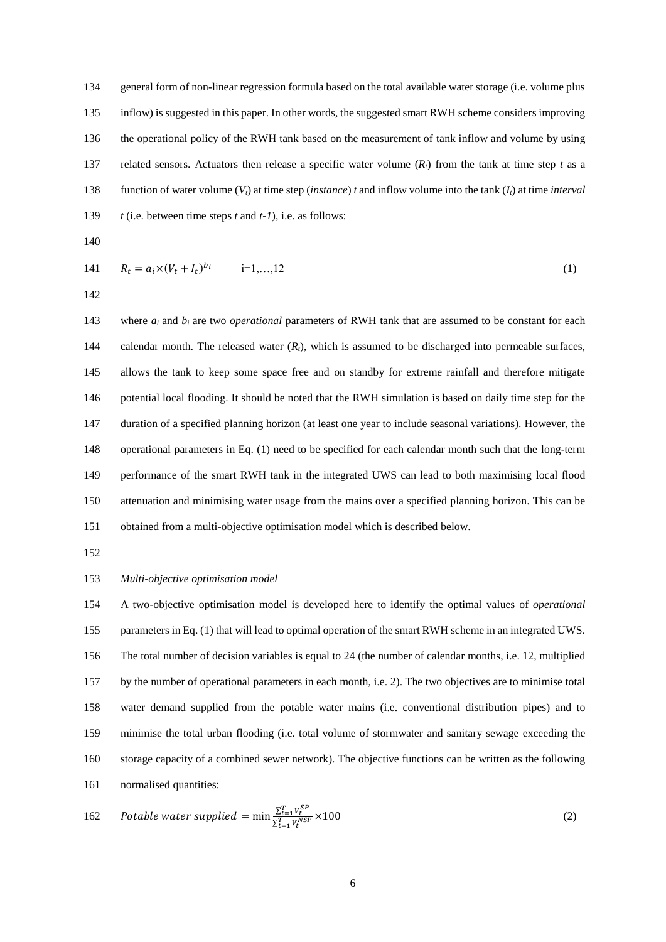general form of non-linear regression formula based on the total available water storage (i.e. volume plus inflow) is suggested in this paper. In other words, the suggested smart RWH scheme considers improving the operational policy of the RWH tank based on the measurement of tank inflow and volume by using 137 related sensors. Actuators then release a specific water volume  $(R_t)$  from the tank at time step *t* as a function of water volume (*Vt*) at time step (*instance*) *t* and inflow volume into the tank (*It*) at time *interval t* (i.e. between time steps *t* and *t-1*), i.e. as follows:

141 
$$
R_t = a_i \times (V_t + I_t)^{b_i}
$$
  $i=1,...,12$  (1)

143 where  $a_i$  and  $b_i$  are two *operational* parameters of RWH tank that are assumed to be constant for each calendar month. The released water (*Rt*), which is assumed to be discharged into permeable surfaces, allows the tank to keep some space free and on standby for extreme rainfall and therefore mitigate potential local flooding. It should be noted that the RWH simulation is based on daily time step for the duration of a specified planning horizon (at least one year to include seasonal variations). However, the operational parameters in Eq. (1) need to be specified for each calendar month such that the long-term performance of the smart RWH tank in the integrated UWS can lead to both maximising local flood attenuation and minimising water usage from the mains over a specified planning horizon. This can be obtained from a multi-objective optimisation model which is described below.

# *Multi-objective optimisation model*

 A two-objective optimisation model is developed here to identify the optimal values of *operational* parameters in Eq. (1) that will lead to optimal operation of the smart RWH scheme in an integrated UWS. The total number of decision variables is equal to 24 (the number of calendar months, i.e. 12, multiplied by the number of operational parameters in each month, i.e. 2). The two objectives are to minimise total water demand supplied from the potable water mains (i.e. conventional distribution pipes) and to minimise the total urban flooding (i.e. total volume of stormwater and sanitary sewage exceeding the storage capacity of a combined sewer network). The objective functions can be written as the following normalised quantities:

162 *Potable water supplied* = min 
$$
\frac{\sum_{t=1}^{T} V_t^{SP}}{\sum_{t=1}^{T} V_t^{NSP}} \times 100
$$
 (2)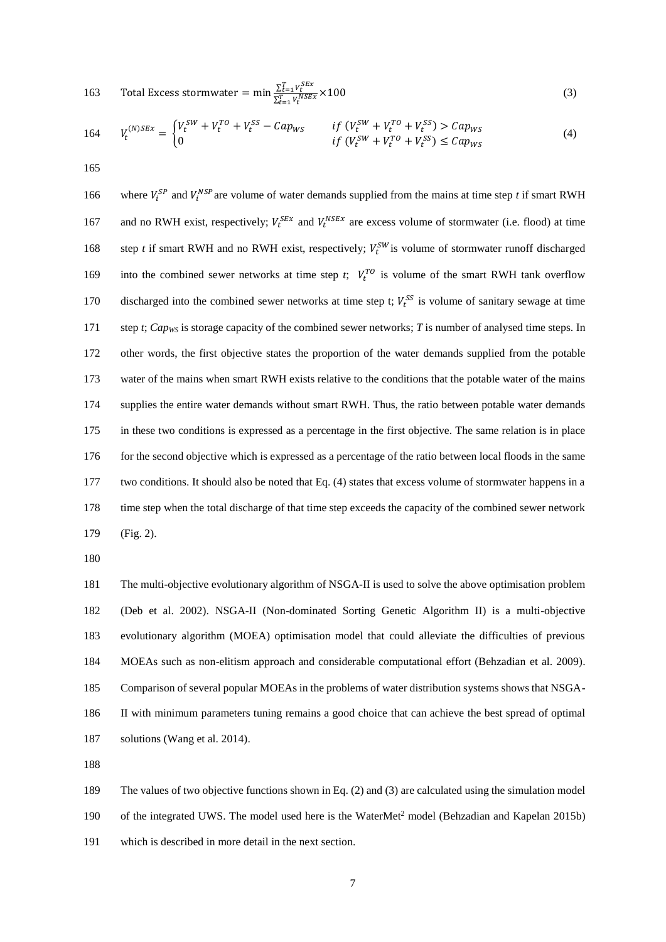163 Total Excess stormwater = min 
$$
\frac{\sum_{t=1}^{T} V_t^{SEx}}{\sum_{t=1}^{T} V_t^{NSEx}} \times 100
$$
 (3)

$$
164 \tV_t^{(N)SEx} = \begin{cases} V_t^{SW} + V_t^{TO} + V_t^{SS} - Cap_{WS} & \text{if } (V_t^{SW} + V_t^{TO} + V_t^{SS}) > Cap_{WS} \\ 0 & \text{if } (V_t^{SW} + V_t^{TO} + V_t^{SS}) \le Cap_{WS} \end{cases}
$$
(4)

165

166 where  $V_i^{SP}$  and  $V_i^{NSP}$  are volume of water demands supplied from the mains at time step *t* if smart RWH 167 and no RWH exist, respectively;  $V_t^{SEx}$  and  $V_t^{NSEx}$  are excess volume of stormwater (i.e. flood) at time 168 step *t* if smart RWH and no RWH exist, respectively;  $V_t^{SW}$  is volume of stormwater runoff discharged 169 into the combined sewer networks at time step *t*;  $V_t^{TO}$  is volume of the smart RWH tank overflow 170 discharged into the combined sewer networks at time step t;  $V_t^{SS}$  is volume of sanitary sewage at time 171 step *t*; *Capws* is storage capacity of the combined sewer networks; *T* is number of analysed time steps. In 172 other words, the first objective states the proportion of the water demands supplied from the potable 173 water of the mains when smart RWH exists relative to the conditions that the potable water of the mains 174 supplies the entire water demands without smart RWH. Thus, the ratio between potable water demands 175 in these two conditions is expressed as a percentage in the first objective. The same relation is in place 176 for the second objective which is expressed as a percentage of the ratio between local floods in the same 177 two conditions. It should also be noted that Eq. (4) states that excess volume of stormwater happens in a 178 time step when the total discharge of that time step exceeds the capacity of the combined sewer network 179 (Fig. 2).

180

 The multi-objective evolutionary algorithm of NSGA-II is used to solve the above optimisation problem (Deb et al. 2002). NSGA-II (Non-dominated Sorting Genetic Algorithm II) is a multi-objective evolutionary algorithm (MOEA) optimisation model that could alleviate the difficulties of previous MOEAs such as non-elitism approach and considerable computational effort (Behzadian et al. 2009). Comparison of several popular MOEAs in the problems of water distribution systems shows that NSGA- II with minimum parameters tuning remains a good choice that can achieve the best spread of optimal solutions (Wang et al. 2014).

188

189 The values of two objective functions shown in Eq. (2) and (3) are calculated using the simulation model 190 of the integrated UWS. The model used here is the WaterMet<sup>2</sup> model (Behzadian and Kapelan 2015b) 191 which is described in more detail in the next section.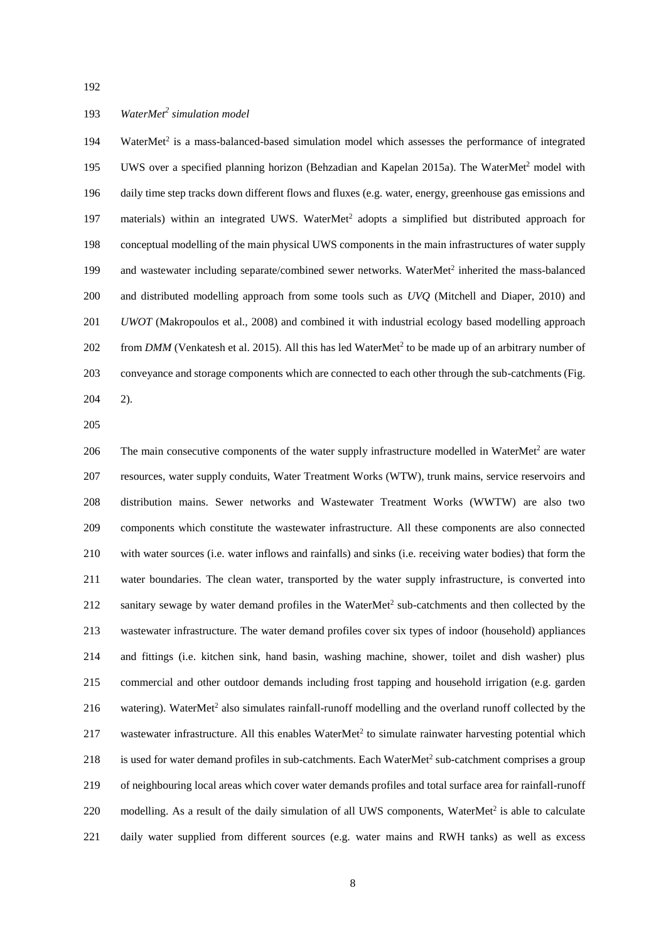# *WaterMet<sup>2</sup> simulation model*

194 WaterMet<sup>2</sup> is a mass-balanced-based simulation model which assesses the performance of integrated 195 UWS over a specified planning horizon (Behzadian and Kapelan 2015a). The WaterMet<sup>2</sup> model with daily time step tracks down different flows and fluxes (e.g. water, energy, greenhouse gas emissions and 197 materials) within an integrated UWS. WaterMet<sup>2</sup> adopts a simplified but distributed approach for conceptual modelling of the main physical UWS components in the main infrastructures of water supply 199 and wastewater including separate/combined sewer networks. WaterMet<sup>2</sup> inherited the mass-balanced and distributed modelling approach from some tools such as *UVQ* (Mitchell and Diaper, 2010) and *UWOT* (Makropoulos et al., 2008) and combined it with industrial ecology based modelling approach 202 from *DMM* (Venkatesh et al. 2015). All this has led WaterMet<sup>2</sup> to be made up of an arbitrary number of conveyance and storage components which are connected to each other through the sub-catchments (Fig. 2).

206 The main consecutive components of the water supply infrastructure modelled in WaterMet<sup>2</sup> are water resources, water supply conduits, Water Treatment Works (WTW), trunk mains, service reservoirs and distribution mains. Sewer networks and Wastewater Treatment Works (WWTW) are also two components which constitute the wastewater infrastructure. All these components are also connected with water sources (i.e. water inflows and rainfalls) and sinks (i.e. receiving water bodies) that form the water boundaries. The clean water, transported by the water supply infrastructure, is converted into 212 sanitary sewage by water demand profiles in the WaterMet<sup>2</sup> sub-catchments and then collected by the wastewater infrastructure. The water demand profiles cover six types of indoor (household) appliances and fittings (i.e. kitchen sink, hand basin, washing machine, shower, toilet and dish washer) plus commercial and other outdoor demands including frost tapping and household irrigation (e.g. garden 216 watering). WaterMet<sup>2</sup> also simulates rainfall-runoff modelling and the overland runoff collected by the 217 wastewater infrastructure. All this enables WaterMet<sup>2</sup> to simulate rainwater harvesting potential which 218 is used for water demand profiles in sub-catchments. Each WaterMet<sup>2</sup> sub-catchment comprises a group of neighbouring local areas which cover water demands profiles and total surface area for rainfall-runoff 220 modelling. As a result of the daily simulation of all UWS components, WaterMet<sup>2</sup> is able to calculate daily water supplied from different sources (e.g. water mains and RWH tanks) as well as excess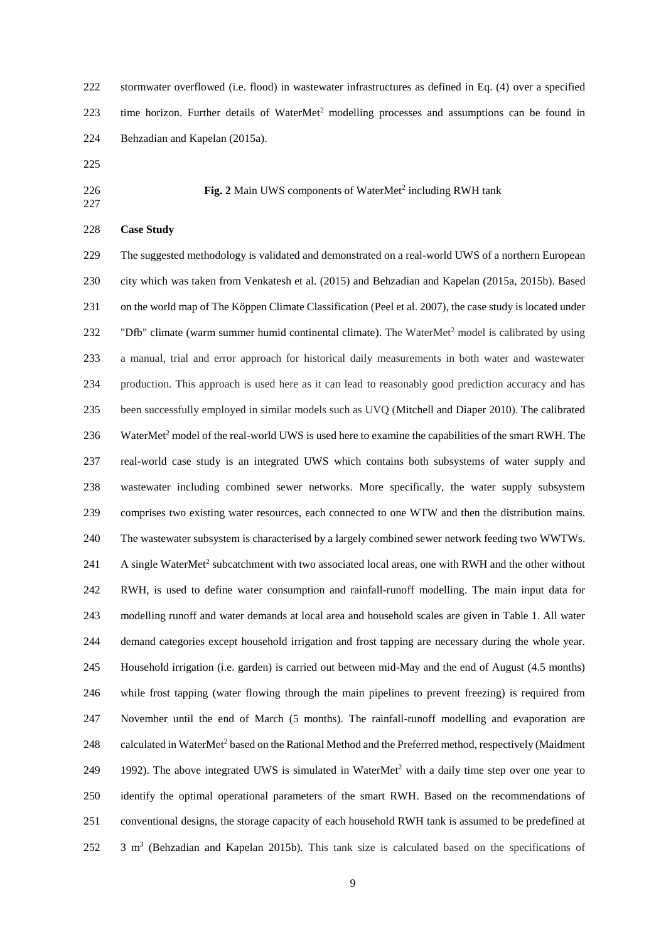stormwater overflowed (i.e. flood) in wastewater infrastructures as defined in Eq. (4) over a specified 223 time horizon. Further details of WaterMet<sup>2</sup> modelling processes and assumptions can be found in Behzadian and Kapelan (2015a).

**Fig. 2** Main UWS components of WaterMet<sup>2</sup> including RWH tank

# **Case Study**

 The suggested methodology is validated and demonstrated on a real-world UWS of a northern European city which was taken from Venkatesh et al. (2015) and Behzadian and Kapelan (2015a, 2015b). Based on the world map of The Köppen Climate Classification (Peel et al. 2007), the case study is located under 232 "Dfb" climate (warm summer humid continental climate). The WaterMet<sup>2</sup> model is calibrated by using a manual, trial and error approach for historical daily measurements in both water and wastewater production. This approach is used here as it can lead to reasonably good prediction accuracy and has been successfully employed in similar models such as UVQ (Mitchell and Diaper 2010). The calibrated 236 WaterMet<sup>2</sup> model of the real-world UWS is used here to examine the capabilities of the smart RWH. The real-world case study is an integrated UWS which contains both subsystems of water supply and wastewater including combined sewer networks. More specifically, the water supply subsystem comprises two existing water resources, each connected to one WTW and then the distribution mains. The wastewater subsystem is characterised by a largely combined sewer network feeding two WWTWs. 241 A single WaterMet<sup>2</sup> subcatchment with two associated local areas, one with RWH and the other without RWH, is used to define water consumption and rainfall-runoff modelling. The main input data for modelling runoff and water demands at local area and household scales are given in Table 1. All water demand categories except household irrigation and frost tapping are necessary during the whole year. Household irrigation (i.e. garden) is carried out between mid-May and the end of August (4.5 months) while frost tapping (water flowing through the main pipelines to prevent freezing) is required from November until the end of March (5 months). The rainfall-runoff modelling and evaporation are 248 calculated in WaterMet<sup>2</sup> based on the Rational Method and the Preferred method, respectively (Maidment 249 1992). The above integrated UWS is simulated in WaterMet<sup>2</sup> with a daily time step over one year to identify the optimal operational parameters of the smart RWH. Based on the recommendations of conventional designs, the storage capacity of each household RWH tank is assumed to be predefined at 252 3 m<sup>3</sup> (Behzadian and Kapelan 2015b). This tank size is calculated based on the specifications of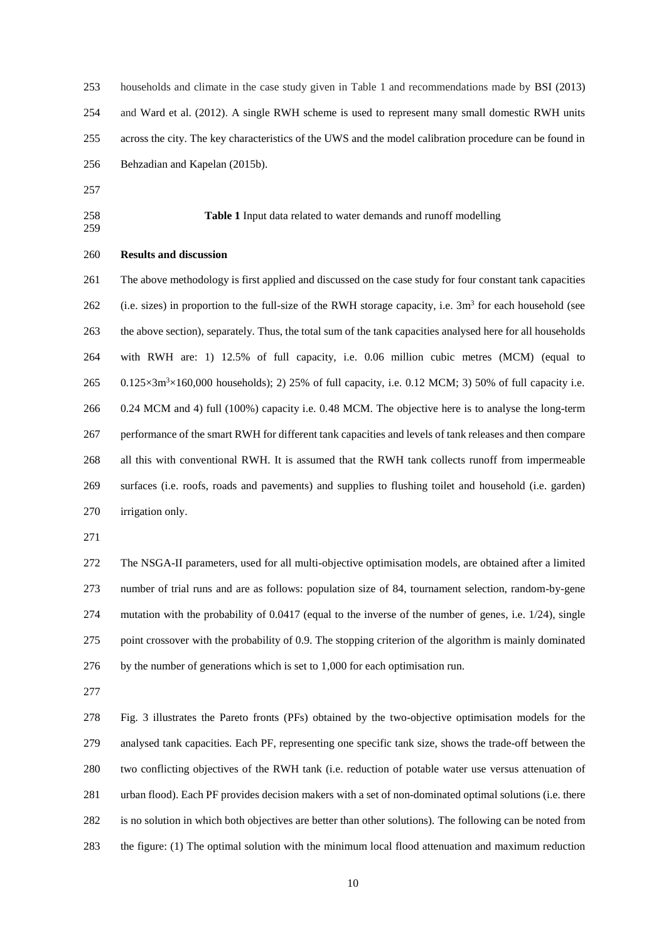| 253 | households and climate in the case study given in Table 1 and recommendations made by BSI (2013)        |
|-----|---------------------------------------------------------------------------------------------------------|
| 254 | and Ward et al. (2012). A single RWH scheme is used to represent many small domestic RWH units          |
| 255 | across the city. The key characteristics of the UWS and the model calibration procedure can be found in |
| 256 | Behzadian and Kapelan (2015b).                                                                          |
|     |                                                                                                         |

- 
- 

**Table 1** Input data related to water demands and runoff modelling

#### **Results and discussion**

 The above methodology is first applied and discussed on the case study for four constant tank capacities 262 (i.e. sizes) in proportion to the full-size of the RWH storage capacity, i.e.  $3m<sup>3</sup>$  for each household (see the above section), separately. Thus, the total sum of the tank capacities analysed here for all households with RWH are: 1) 12.5% of full capacity, i.e. 0.06 million cubic metres (MCM) (equal to  $0.125 \times 3m^3 \times 160,000$  households); 2) 25% of full capacity, i.e. 0.12 MCM; 3) 50% of full capacity i.e. 0.24 MCM and 4) full (100%) capacity i.e. 0.48 MCM. The objective here is to analyse the long-term performance of the smart RWH for different tank capacities and levels of tank releases and then compare all this with conventional RWH. It is assumed that the RWH tank collects runoff from impermeable surfaces (i.e. roofs, roads and pavements) and supplies to flushing toilet and household (i.e. garden) irrigation only.

 The NSGA-II parameters, used for all multi-objective optimisation models, are obtained after a limited number of trial runs and are as follows: population size of 84, tournament selection, random-by-gene mutation with the probability of 0.0417 (equal to the inverse of the number of genes, i.e. 1/24), single point crossover with the probability of 0.9. The stopping criterion of the algorithm is mainly dominated by the number of generations which is set to 1,000 for each optimisation run.

 Fig. 3 illustrates the Pareto fronts (PFs) obtained by the two-objective optimisation models for the analysed tank capacities. Each PF, representing one specific tank size, shows the trade-off between the two conflicting objectives of the RWH tank (i.e. reduction of potable water use versus attenuation of urban flood). Each PF provides decision makers with a set of non-dominated optimal solutions (i.e. there is no solution in which both objectives are better than other solutions). The following can be noted from the figure: (1) The optimal solution with the minimum local flood attenuation and maximum reduction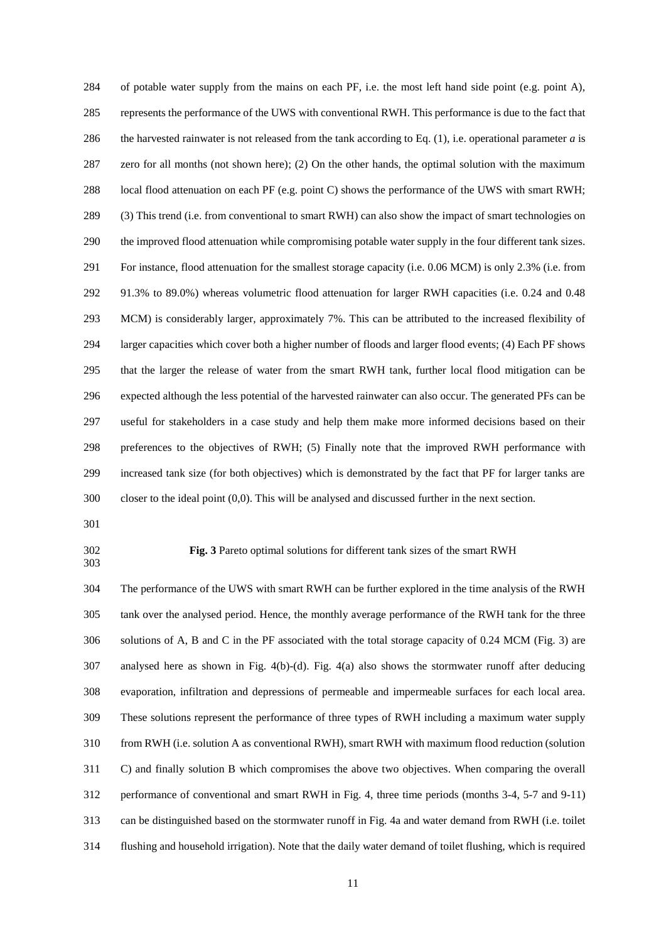of potable water supply from the mains on each PF, i.e. the most left hand side point (e.g. point A), represents the performance of the UWS with conventional RWH. This performance is due to the fact that the harvested rainwater is not released from the tank according to Eq. (1), i.e. operational parameter *a* is zero for all months (not shown here); (2) On the other hands, the optimal solution with the maximum 288 local flood attenuation on each PF (e.g. point C) shows the performance of the UWS with smart RWH; (3) This trend (i.e. from conventional to smart RWH) can also show the impact of smart technologies on the improved flood attenuation while compromising potable water supply in the four different tank sizes. For instance, flood attenuation for the smallest storage capacity (i.e. 0.06 MCM) is only 2.3% (i.e. from 91.3% to 89.0%) whereas volumetric flood attenuation for larger RWH capacities (i.e. 0.24 and 0.48 MCM) is considerably larger, approximately 7%. This can be attributed to the increased flexibility of larger capacities which cover both a higher number of floods and larger flood events; (4) Each PF shows that the larger the release of water from the smart RWH tank, further local flood mitigation can be expected although the less potential of the harvested rainwater can also occur. The generated PFs can be useful for stakeholders in a case study and help them make more informed decisions based on their preferences to the objectives of RWH; (5) Finally note that the improved RWH performance with increased tank size (for both objectives) which is demonstrated by the fact that PF for larger tanks are closer to the ideal point (0,0). This will be analysed and discussed further in the next section.

# 

#### **Fig. 3** Pareto optimal solutions for different tank sizes of the smart RWH

 The performance of the UWS with smart RWH can be further explored in the time analysis of the RWH tank over the analysed period. Hence, the monthly average performance of the RWH tank for the three solutions of A, B and C in the PF associated with the total storage capacity of 0.24 MCM (Fig. 3) are analysed here as shown in Fig. 4(b)-(d). Fig. 4(a) also shows the stormwater runoff after deducing evaporation, infiltration and depressions of permeable and impermeable surfaces for each local area. These solutions represent the performance of three types of RWH including a maximum water supply from RWH (i.e. solution A as conventional RWH), smart RWH with maximum flood reduction (solution C) and finally solution B which compromises the above two objectives. When comparing the overall performance of conventional and smart RWH in Fig. 4, three time periods (months 3-4, 5-7 and 9-11) can be distinguished based on the stormwater runoff in Fig. 4a and water demand from RWH (i.e. toilet flushing and household irrigation). Note that the daily water demand of toilet flushing, which is required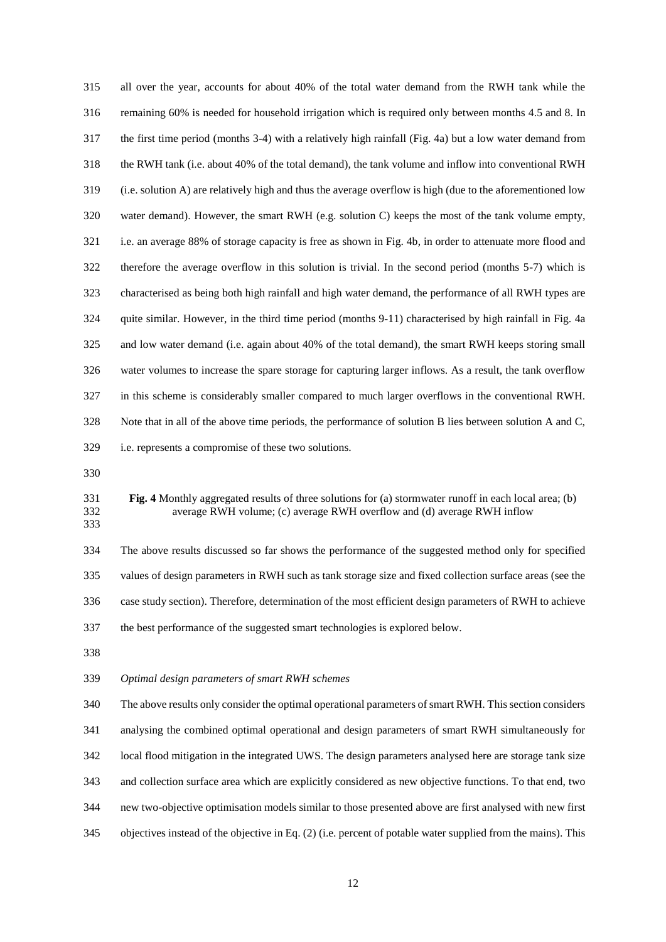all over the year, accounts for about 40% of the total water demand from the RWH tank while the remaining 60% is needed for household irrigation which is required only between months 4.5 and 8. In the first time period (months 3-4) with a relatively high rainfall (Fig. 4a) but a low water demand from the RWH tank (i.e. about 40% of the total demand), the tank volume and inflow into conventional RWH (i.e. solution A) are relatively high and thus the average overflow is high (due to the aforementioned low water demand). However, the smart RWH (e.g. solution C) keeps the most of the tank volume empty, i.e. an average 88% of storage capacity is free as shown in Fig. 4b, in order to attenuate more flood and therefore the average overflow in this solution is trivial. In the second period (months 5-7) which is characterised as being both high rainfall and high water demand, the performance of all RWH types are quite similar. However, in the third time period (months 9-11) characterised by high rainfall in Fig. 4a and low water demand (i.e. again about 40% of the total demand), the smart RWH keeps storing small water volumes to increase the spare storage for capturing larger inflows. As a result, the tank overflow in this scheme is considerably smaller compared to much larger overflows in the conventional RWH. Note that in all of the above time periods, the performance of solution B lies between solution A and C, i.e. represents a compromise of these two solutions.

#### **Fig. 4** Monthly aggregated results of three solutions for (a) stormwater runoff in each local area; (b) average RWH volume; (c) average RWH overflow and (d) average RWH inflow

 The above results discussed so far shows the performance of the suggested method only for specified values of design parameters in RWH such as tank storage size and fixed collection surface areas (see the case study section). Therefore, determination of the most efficient design parameters of RWH to achieve the best performance of the suggested smart technologies is explored below.

# *Optimal design parameters of smart RWH schemes*

 The above results only consider the optimal operational parameters of smart RWH. This section considers analysing the combined optimal operational and design parameters of smart RWH simultaneously for local flood mitigation in the integrated UWS. The design parameters analysed here are storage tank size and collection surface area which are explicitly considered as new objective functions. To that end, two new two-objective optimisation models similar to those presented above are first analysed with new first objectives instead of the objective in Eq. (2) (i.e. percent of potable water supplied from the mains). This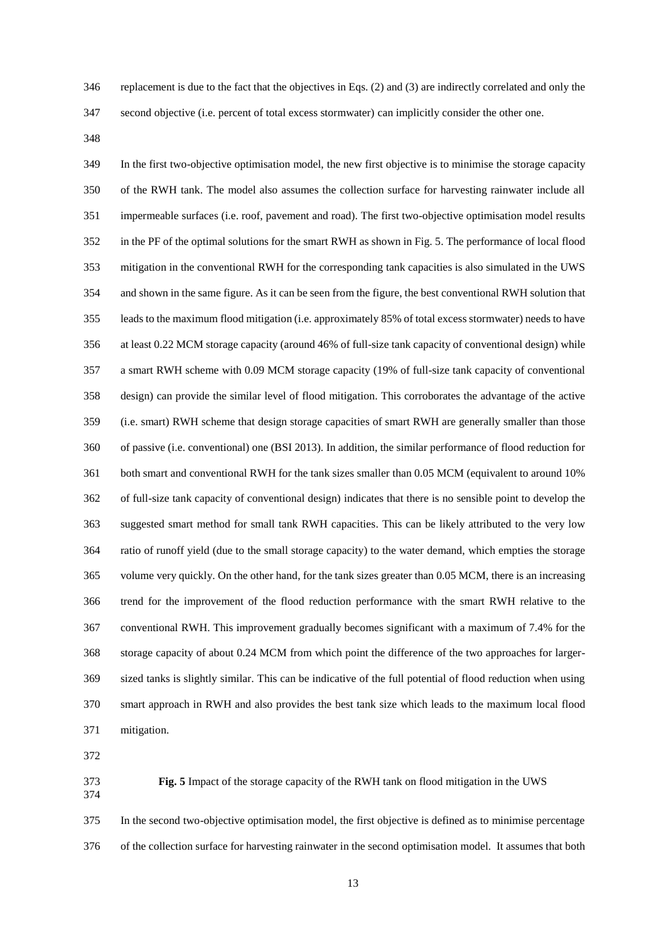replacement is due to the fact that the objectives in Eqs. (2) and (3) are indirectly correlated and only the

second objective (i.e. percent of total excess stormwater) can implicitly consider the other one.

 In the first two-objective optimisation model, the new first objective is to minimise the storage capacity of the RWH tank. The model also assumes the collection surface for harvesting rainwater include all impermeable surfaces (i.e. roof, pavement and road). The first two-objective optimisation model results in the PF of the optimal solutions for the smart RWH as shown in Fig. 5. The performance of local flood mitigation in the conventional RWH for the corresponding tank capacities is also simulated in the UWS and shown in the same figure. As it can be seen from the figure, the best conventional RWH solution that leads to the maximum flood mitigation (i.e. approximately 85% of total excess stormwater) needs to have at least 0.22 MCM storage capacity (around 46% of full-size tank capacity of conventional design) while a smart RWH scheme with 0.09 MCM storage capacity (19% of full-size tank capacity of conventional design) can provide the similar level of flood mitigation. This corroborates the advantage of the active (i.e. smart) RWH scheme that design storage capacities of smart RWH are generally smaller than those of passive (i.e. conventional) one (BSI 2013). In addition, the similar performance of flood reduction for both smart and conventional RWH for the tank sizes smaller than 0.05 MCM (equivalent to around 10% of full-size tank capacity of conventional design) indicates that there is no sensible point to develop the suggested smart method for small tank RWH capacities. This can be likely attributed to the very low ratio of runoff yield (due to the small storage capacity) to the water demand, which empties the storage volume very quickly. On the other hand, for the tank sizes greater than 0.05 MCM, there is an increasing trend for the improvement of the flood reduction performance with the smart RWH relative to the conventional RWH. This improvement gradually becomes significant with a maximum of 7.4% for the storage capacity of about 0.24 MCM from which point the difference of the two approaches for larger- sized tanks is slightly similar. This can be indicative of the full potential of flood reduction when using smart approach in RWH and also provides the best tank size which leads to the maximum local flood mitigation.

 **Fig. 5** Impact of the storage capacity of the RWH tank on flood mitigation in the UWS 

In the second two-objective optimisation model, the first objective is defined as to minimise percentage

of the collection surface for harvesting rainwater in the second optimisation model. It assumes that both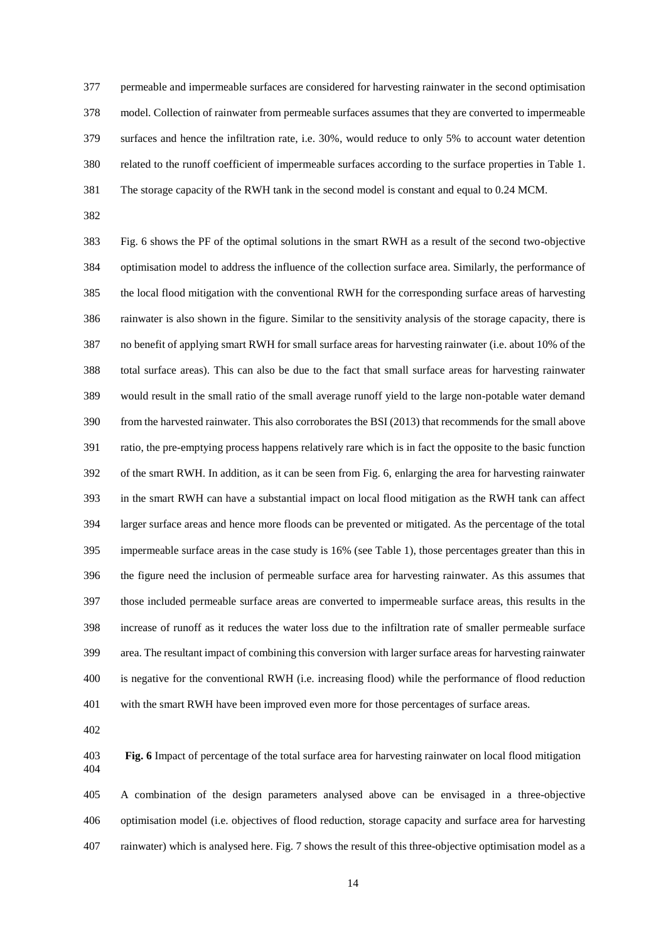permeable and impermeable surfaces are considered for harvesting rainwater in the second optimisation model. Collection of rainwater from permeable surfaces assumes that they are converted to impermeable surfaces and hence the infiltration rate, i.e. 30%, would reduce to only 5% to account water detention related to the runoff coefficient of impermeable surfaces according to the surface properties in Table 1. The storage capacity of the RWH tank in the second model is constant and equal to 0.24 MCM.

 Fig. 6 shows the PF of the optimal solutions in the smart RWH as a result of the second two-objective optimisation model to address the influence of the collection surface area. Similarly, the performance of the local flood mitigation with the conventional RWH for the corresponding surface areas of harvesting rainwater is also shown in the figure. Similar to the sensitivity analysis of the storage capacity, there is no benefit of applying smart RWH for small surface areas for harvesting rainwater (i.e. about 10% of the total surface areas). This can also be due to the fact that small surface areas for harvesting rainwater would result in the small ratio of the small average runoff yield to the large non-potable water demand from the harvested rainwater. This also corroborates the BSI (2013) that recommends for the small above ratio, the pre-emptying process happens relatively rare which is in fact the opposite to the basic function of the smart RWH. In addition, as it can be seen from Fig. 6, enlarging the area for harvesting rainwater in the smart RWH can have a substantial impact on local flood mitigation as the RWH tank can affect larger surface areas and hence more floods can be prevented or mitigated. As the percentage of the total impermeable surface areas in the case study is 16% (see Table 1), those percentages greater than this in the figure need the inclusion of permeable surface area for harvesting rainwater. As this assumes that those included permeable surface areas are converted to impermeable surface areas, this results in the increase of runoff as it reduces the water loss due to the infiltration rate of smaller permeable surface area. The resultant impact of combining this conversion with larger surface areas for harvesting rainwater is negative for the conventional RWH (i.e. increasing flood) while the performance of flood reduction with the smart RWH have been improved even more for those percentages of surface areas.

 **Fig. 6** Impact of percentage of the total surface area for harvesting rainwater on local flood mitigation 

 A combination of the design parameters analysed above can be envisaged in a three-objective optimisation model (i.e. objectives of flood reduction, storage capacity and surface area for harvesting rainwater) which is analysed here. Fig. 7 shows the result of this three-objective optimisation model as a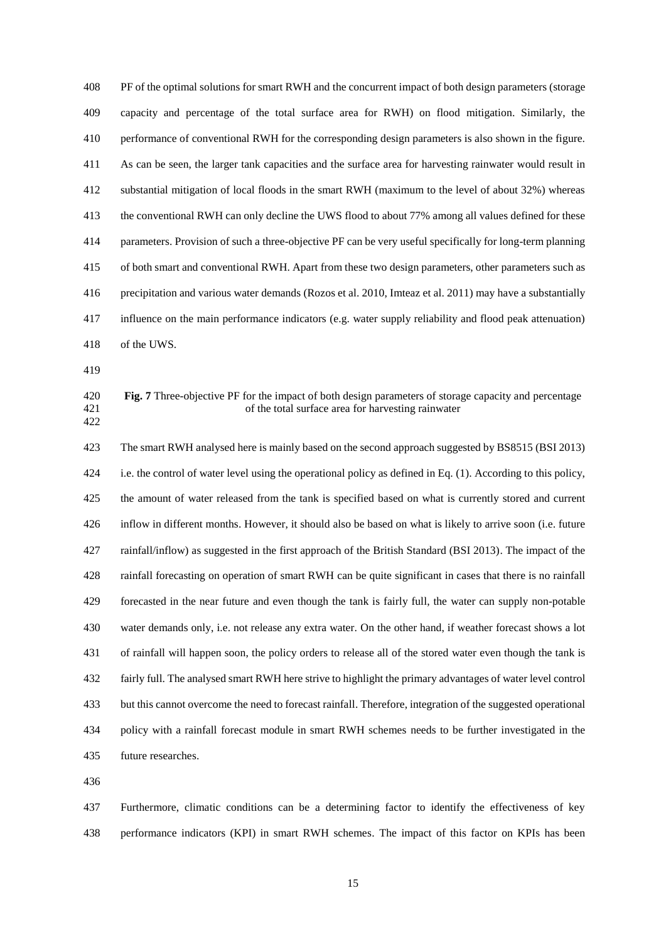PF of the optimal solutions for smart RWH and the concurrent impact of both design parameters (storage capacity and percentage of the total surface area for RWH) on flood mitigation. Similarly, the performance of conventional RWH for the corresponding design parameters is also shown in the figure. As can be seen, the larger tank capacities and the surface area for harvesting rainwater would result in substantial mitigation of local floods in the smart RWH (maximum to the level of about 32%) whereas the conventional RWH can only decline the UWS flood to about 77% among all values defined for these parameters. Provision of such a three-objective PF can be very useful specifically for long-term planning of both smart and conventional RWH. Apart from these two design parameters, other parameters such as precipitation and various water demands (Rozos et al. 2010, Imteaz et al. 2011) may have a substantially influence on the main performance indicators (e.g. water supply reliability and flood peak attenuation) of the UWS.

 **Fig. 7** Three-objective PF for the impact of both design parameters of storage capacity and percentage of the total surface area for harvesting rainwater 

 The smart RWH analysed here is mainly based on the second approach suggested by BS8515 (BSI 2013) i.e. the control of water level using the operational policy as defined in Eq. (1). According to this policy, the amount of water released from the tank is specified based on what is currently stored and current inflow in different months. However, it should also be based on what is likely to arrive soon (i.e. future rainfall/inflow) as suggested in the first approach of the British Standard (BSI 2013). The impact of the rainfall forecasting on operation of smart RWH can be quite significant in cases that there is no rainfall forecasted in the near future and even though the tank is fairly full, the water can supply non-potable water demands only, i.e. not release any extra water. On the other hand, if weather forecast shows a lot of rainfall will happen soon, the policy orders to release all of the stored water even though the tank is fairly full. The analysed smart RWH here strive to highlight the primary advantages of water level control but this cannot overcome the need to forecast rainfall. Therefore, integration of the suggested operational policy with a rainfall forecast module in smart RWH schemes needs to be further investigated in the future researches.

 Furthermore, climatic conditions can be a determining factor to identify the effectiveness of key performance indicators (KPI) in smart RWH schemes. The impact of this factor on KPIs has been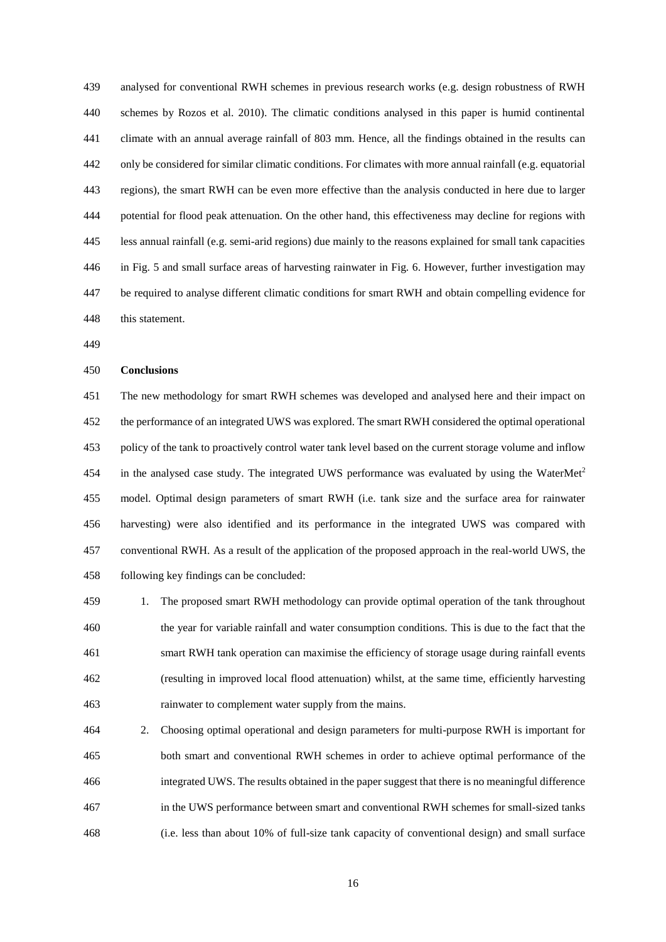analysed for conventional RWH schemes in previous research works (e.g. design robustness of RWH schemes by Rozos et al. 2010). The climatic conditions analysed in this paper is humid continental climate with an annual average rainfall of 803 mm. Hence, all the findings obtained in the results can only be considered for similar climatic conditions. For climates with more annual rainfall (e.g. equatorial regions), the smart RWH can be even more effective than the analysis conducted in here due to larger potential for flood peak attenuation. On the other hand, this effectiveness may decline for regions with less annual rainfall (e.g. semi-arid regions) due mainly to the reasons explained for small tank capacities in Fig. 5 and small surface areas of harvesting rainwater in Fig. 6. However, further investigation may be required to analyse different climatic conditions for smart RWH and obtain compelling evidence for this statement.

# **Conclusions**

 The new methodology for smart RWH schemes was developed and analysed here and their impact on the performance of an integrated UWS was explored. The smart RWH considered the optimal operational policy of the tank to proactively control water tank level based on the current storage volume and inflow 454 in the analysed case study. The integrated UWS performance was evaluated by using the WaterMet<sup>2</sup> model. Optimal design parameters of smart RWH (i.e. tank size and the surface area for rainwater harvesting) were also identified and its performance in the integrated UWS was compared with conventional RWH. As a result of the application of the proposed approach in the real-world UWS, the following key findings can be concluded:

 1. The proposed smart RWH methodology can provide optimal operation of the tank throughout the year for variable rainfall and water consumption conditions. This is due to the fact that the smart RWH tank operation can maximise the efficiency of storage usage during rainfall events (resulting in improved local flood attenuation) whilst, at the same time, efficiently harvesting rainwater to complement water supply from the mains.

 2. Choosing optimal operational and design parameters for multi-purpose RWH is important for both smart and conventional RWH schemes in order to achieve optimal performance of the integrated UWS. The results obtained in the paper suggest that there is no meaningful difference in the UWS performance between smart and conventional RWH schemes for small-sized tanks (i.e. less than about 10% of full-size tank capacity of conventional design) and small surface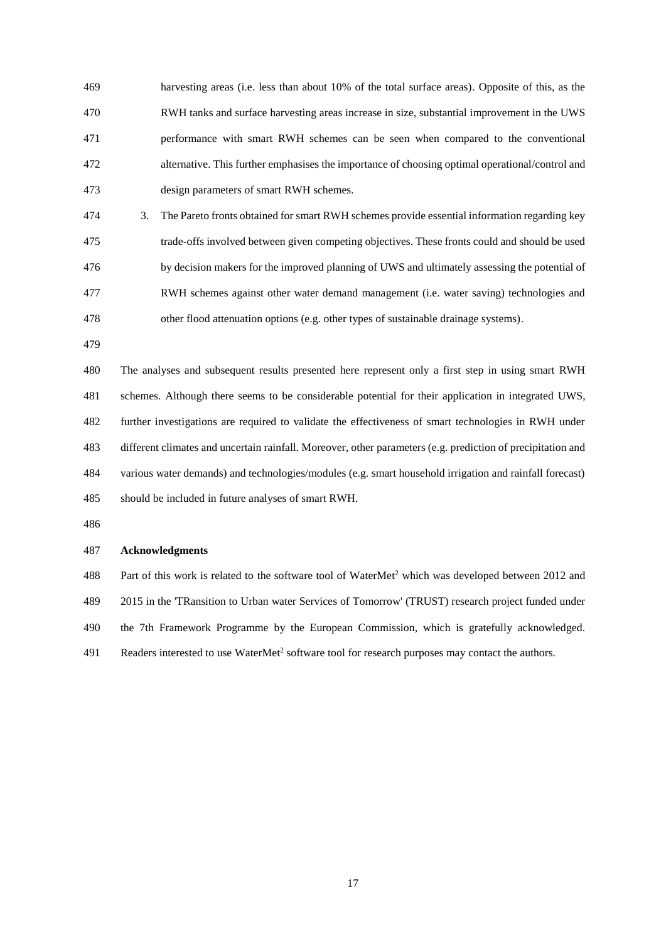harvesting areas (i.e. less than about 10% of the total surface areas). Opposite of this, as the RWH tanks and surface harvesting areas increase in size, substantial improvement in the UWS performance with smart RWH schemes can be seen when compared to the conventional alternative. This further emphasises the importance of choosing optimal operational/control and design parameters of smart RWH schemes.

 3. The Pareto fronts obtained for smart RWH schemes provide essential information regarding key trade-offs involved between given competing objectives. These fronts could and should be used by decision makers for the improved planning of UWS and ultimately assessing the potential of RWH schemes against other water demand management (i.e. water saving) technologies and other flood attenuation options (e.g. other types of sustainable drainage systems).

 The analyses and subsequent results presented here represent only a first step in using smart RWH schemes. Although there seems to be considerable potential for their application in integrated UWS, further investigations are required to validate the effectiveness of smart technologies in RWH under different climates and uncertain rainfall. Moreover, other parameters (e.g. prediction of precipitation and various water demands) and technologies/modules (e.g. smart household irrigation and rainfall forecast) should be included in future analyses of smart RWH.

#### **Acknowledgments**

488 Part of this work is related to the software tool of WaterMet<sup>2</sup> which was developed between 2012 and 2015 in the 'TRansition to Urban water Services of Tomorrow' (TRUST) research project funded under the 7th Framework Programme by the European Commission, which is gratefully acknowledged. 491 Readers interested to use WaterMet<sup>2</sup> software tool for research purposes may contact the authors.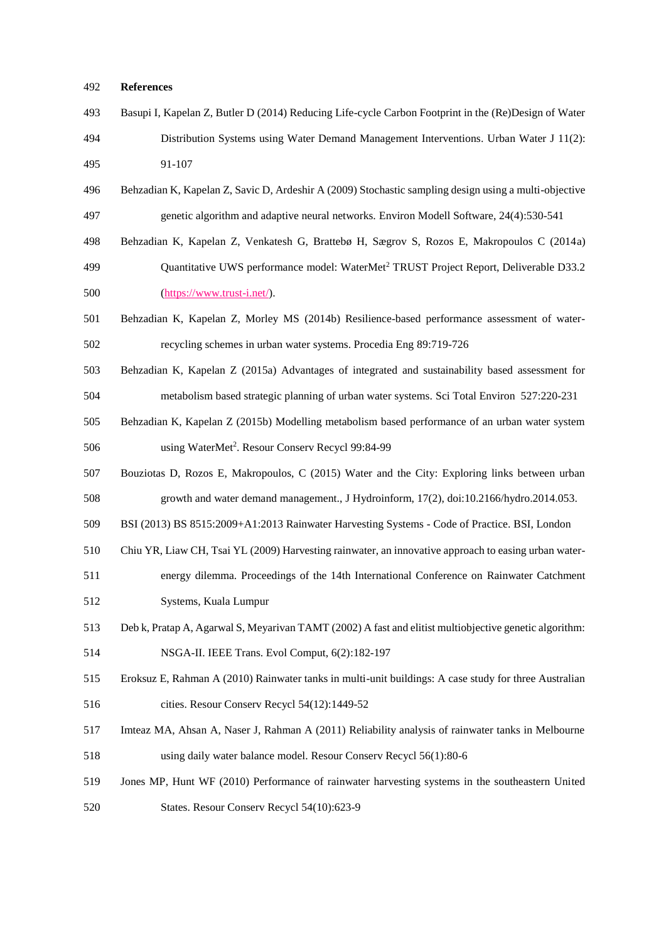### **References**

- Basupi I, Kapelan Z, Butler D (2014) Reducing Life-cycle Carbon Footprint in the (Re)Design of Water Distribution Systems using Water Demand Management Interventions. Urban Water J 11(2): 91-107
- Behzadian K, Kapelan Z, Savic D, Ardeshir A (2009) Stochastic sampling design using a multi-objective genetic algorithm and adaptive neural networks. Environ Modell Software, 24(4):530-541
- Behzadian K, Kapelan Z, Venkatesh G, Brattebø H, Sægrov S, Rozos E, Makropoulos C (2014a)
- 499 Ouantitative UWS performance model: WaterMet<sup>2</sup> TRUST Project Report, Deliverable D33.2 [\(https://www.trust-i.net/\)](https://www.trust-i.net/).
- Behzadian K, Kapelan Z, Morley MS (2014b) Resilience-based performance assessment of water-recycling schemes in urban water systems. Procedia Eng 89:719-726
- Behzadian K, Kapelan Z (2015a) Advantages of integrated and sustainability based assessment for metabolism based strategic planning of urban water systems. Sci Total Environ 527:220-231
- Behzadian K, Kapelan Z (2015b) Modelling metabolism based performance of an urban water system 506 using WaterMet<sup>2</sup>. Resour Conserv Recycl 99:84-99
- Bouziotas D, Rozos E, Makropoulos, C (2015) Water and the City: Exploring links between urban growth and water demand management., J Hydroinform, 17(2), doi:10.2166/hydro.2014.053.
- BSI (2013) BS 8515:2009+A1:2013 Rainwater Harvesting Systems Code of Practice. BSI, London
- Chiu YR, Liaw CH, Tsai YL (2009) Harvesting rainwater, an innovative approach to easing urban water-
- energy dilemma. Proceedings of the 14th International Conference on Rainwater Catchment Systems, Kuala Lumpur
- Deb k, Pratap A, Agarwal S, Meyarivan TAMT (2002) A fast and elitist multiobjective genetic algorithm:
- NSGA-II. IEEE Trans. Evol Comput, 6(2):182-197
- Eroksuz E, Rahman A (2010) Rainwater tanks in multi-unit buildings: A case study for three Australian cities. Resour Conserv Recycl 54(12):1449-52
- Imteaz MA, Ahsan A, Naser J, Rahman A (2011) Reliability analysis of rainwater tanks in Melbourne using daily water balance model. Resour Conserv Recycl 56(1):80-6
- Jones MP, Hunt WF (2010) Performance of rainwater harvesting systems in the southeastern United States. Resour Conserv Recycl 54(10):623-9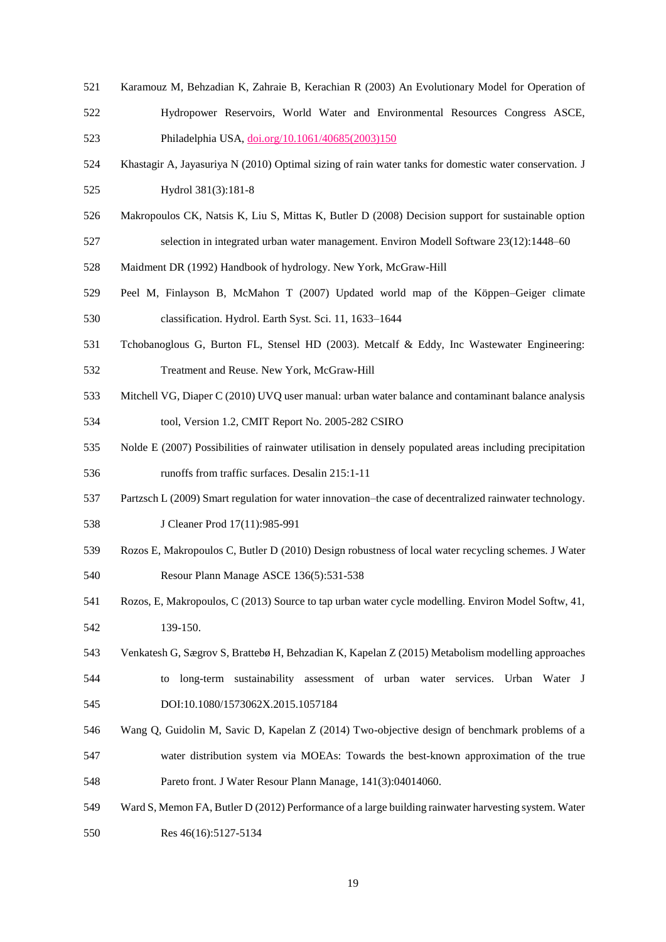- Karamouz M, Behzadian K, Zahraie B, Kerachian R (2003) An Evolutionary Model for Operation of
- Hydropower Reservoirs, World Water and Environmental Resources Congress ASCE,
- Philadelphia USA, [doi.org/10.1061/40685\(2003\)150](http://dx.doi.org/10.1061/40685(2003)150)
- Khastagir A, Jayasuriya N (2010) Optimal sizing of rain water tanks for domestic water conservation. J Hydrol 381(3):181-8
- Makropoulos CK, Natsis K, Liu S, Mittas K, Butler D (2008) Decision support for sustainable option
- selection in integrated urban water management. Environ Modell Software 23(12):1448–60
- Maidment DR (1992) Handbook of hydrology. New York, McGraw-Hill
- Peel M, Finlayson B, McMahon T (2007) Updated world map of the Köppen–Geiger climate classification. Hydrol. Earth Syst. Sci. 11, 1633–1644
- Tchobanoglous G, Burton FL, Stensel HD (2003). Metcalf & Eddy, Inc Wastewater Engineering: Treatment and Reuse. New York, McGraw-Hill
- Mitchell VG, Diaper C (2010) UVQ user manual: urban water balance and contaminant balance analysis tool, Version 1.2, CMIT Report No. 2005-282 CSIRO
- Nolde E (2007) Possibilities of rainwater utilisation in densely populated areas including precipitation
- runoffs from traffic surfaces. Desalin 215:1-11
- Partzsch L (2009) Smart regulation for water innovation–the case of decentralized rainwater technology.
- **J Cleaner Prod 17(11):985-991**
- Rozos E, Makropoulos C, Butler D (2010) Design robustness of local water recycling schemes. J Water Resour Plann Manage ASCE 136(5):531-538
- Rozos, E, Makropoulos, C (2013) Source to tap urban water cycle modelling. Environ Model Softw, 41, 139-150.
- Venkatesh G, Sægrov S, Brattebø H, Behzadian K, Kapelan Z (2015) Metabolism modelling approaches to long-term sustainability assessment of urban water services. Urban Water J
- DOI:10.1080/1573062X.2015.1057184
- Wang Q, Guidolin M, Savic D, Kapelan Z (2014) Two-objective design of benchmark problems of a water distribution system via MOEAs: Towards the best-known approximation of the true
- Pareto front. J Water Resour Plann Manage, 141(3):04014060.
- Ward S, Memon FA, Butler D (2012) Performance of a large building rainwater harvesting system. Water
- Res 46(16):5127-5134